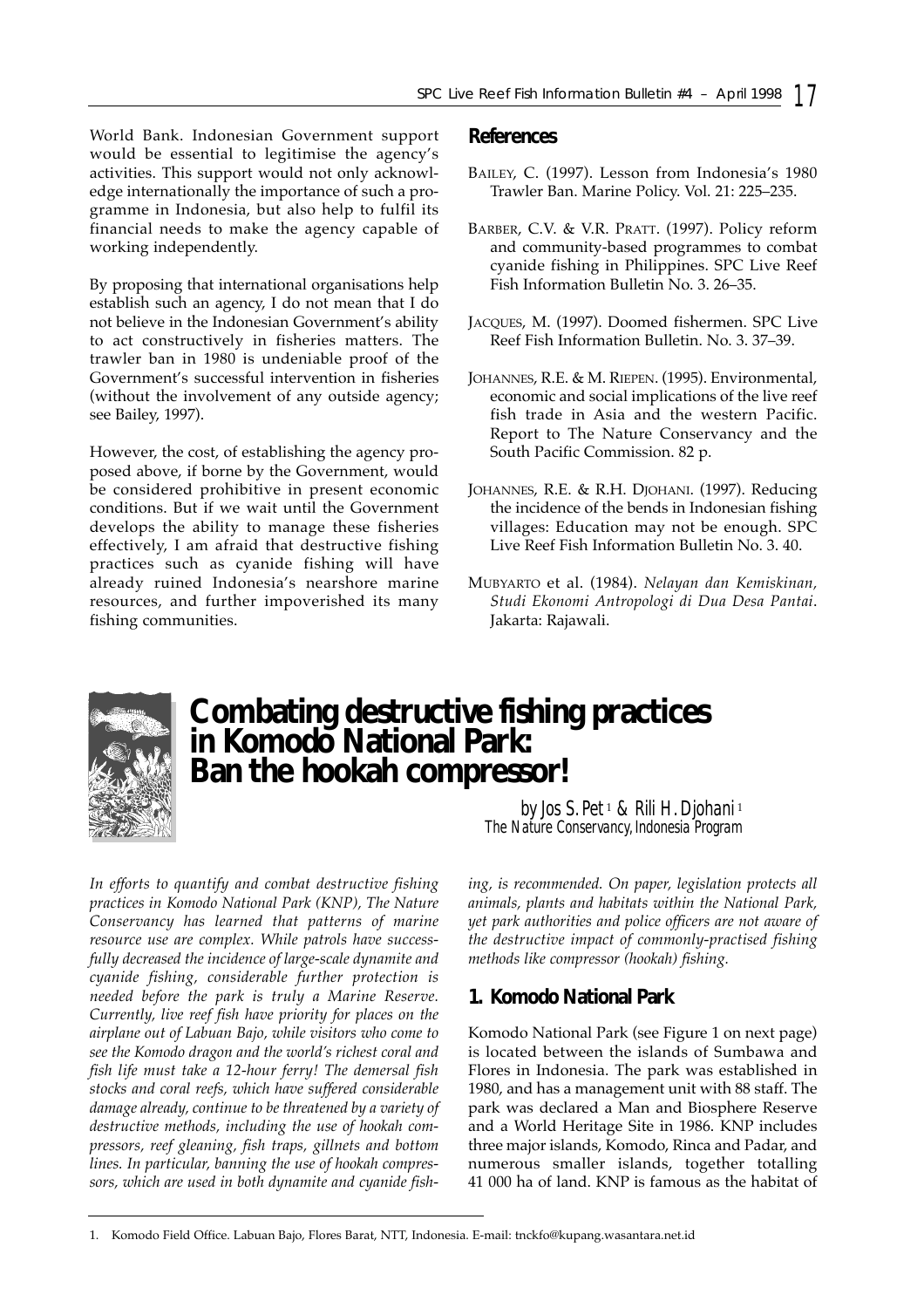World Bank. Indonesian Government support would be essential to legitimise the agency's activities. This support would not only acknowledge internationally the importance of such a programme in Indonesia, but also help to fulfil its financial needs to make the agency capable of working independently.

By proposing that international organisations help establish such an agency, I do not mean that I do not believe in the Indonesian Government's ability to act constructively in fisheries matters. The trawler ban in 1980 is undeniable proof of the Government's successful intervention in fisheries (without the involvement of any outside agency; see Bailey, 1997).

However, the cost, of establishing the agency proposed above, if borne by the Government, would be considered prohibitive in present economic conditions. But if we wait until the Government develops the ability to manage these fisheries effectively, I am afraid that destructive fishing practices such as cyanide fishing will have already ruined Indonesia's nearshore marine resources, and further impoverished its many fishing communities.

## **References**

- BAILEY, C. (1997). Lesson from Indonesia's 1980 Trawler Ban. Marine Policy. Vol. 21: 225–235.
- BARBER, C.V. & V.R. PRATT. (1997). Policy reform and community-based programmes to combat cyanide fishing in Philippines. SPC Live Reef Fish Information Bulletin No. 3. 26–35.
- JACQUES, M. (1997). Doomed fishermen. SPC Live Reef Fish Information Bulletin. No. 3. 37–39.
- JOHANNES, R.E. & M. RIEPEN. (1995). Environmental, economic and social implications of the live reef fish trade in Asia and the western Pacific. Report to The Nature Conservancy and the South Pacific Commission. 82 p.
- JOHANNES, R.E. & R.H. DJOHANI. (1997). Reducing the incidence of the bends in Indonesian fishing villages: Education may not be enough. SPC Live Reef Fish Information Bulletin No. 3. 40.
- MUBYARTO et al. (1984). *Nelayan dan Kemiskinan, Studi Ekonomi Antropologi di Dua Desa Pantai*. Jakarta: Rajawali.



# **Combating destructive fishing practices in Komodo National Park: Ban the hookah compressor!**

*by Jos S. Pet* <sup>1</sup> *& Rili H. Djohani* <sup>1</sup> *The Nature Conservancy, Indonesia Program* 

*In efforts to quantify and combat destructive fishing practices in Komodo National Park (KNP), The Nature Conservancy has learned that patterns of marine resource use are complex. While patrols have successfully decreased the incidence of large-scale dynamite and cyanide fishing, considerable further protection is needed before the park is truly a Marine Reserve. Currently, live reef fish have priority for places on the airplane out of Labuan Bajo, while visitors who come to see the Komodo dragon and the world's richest coral and fish life must take a 12-hour ferry! The demersal fish stocks and coral reefs, which have suffered considerable damage already, continue to be threatened by a variety of destructive methods, including the use of hookah compressors, reef gleaning, fish traps, gillnets and bottom lines. In particular, banning the use of hookah compressors, which are used in both dynamite and cyanide fish-* *ing, is recommended. On paper, legislation protects all animals, plants and habitats within the National Park, yet park authorities and police officers are not aware of the destructive impact of commonly-practised fishing methods like compressor (hookah) fishing.* 

# **1. Komodo National Park**

Komodo National Park (see Figure 1 on next page) is located between the islands of Sumbawa and Flores in Indonesia. The park was established in 1980, and has a management unit with 88 staff. The park was declared a Man and Biosphere Reserve and a World Heritage Site in 1986. KNP includes three major islands, Komodo, Rinca and Padar, and numerous smaller islands, together totalling 41 000 ha of land. KNP is famous as the habitat of

<sup>1.</sup> Komodo Field Office. Labuan Bajo, Flores Barat, NTT, Indonesia. E-mail: tnckfo@kupang.wasantara.net.id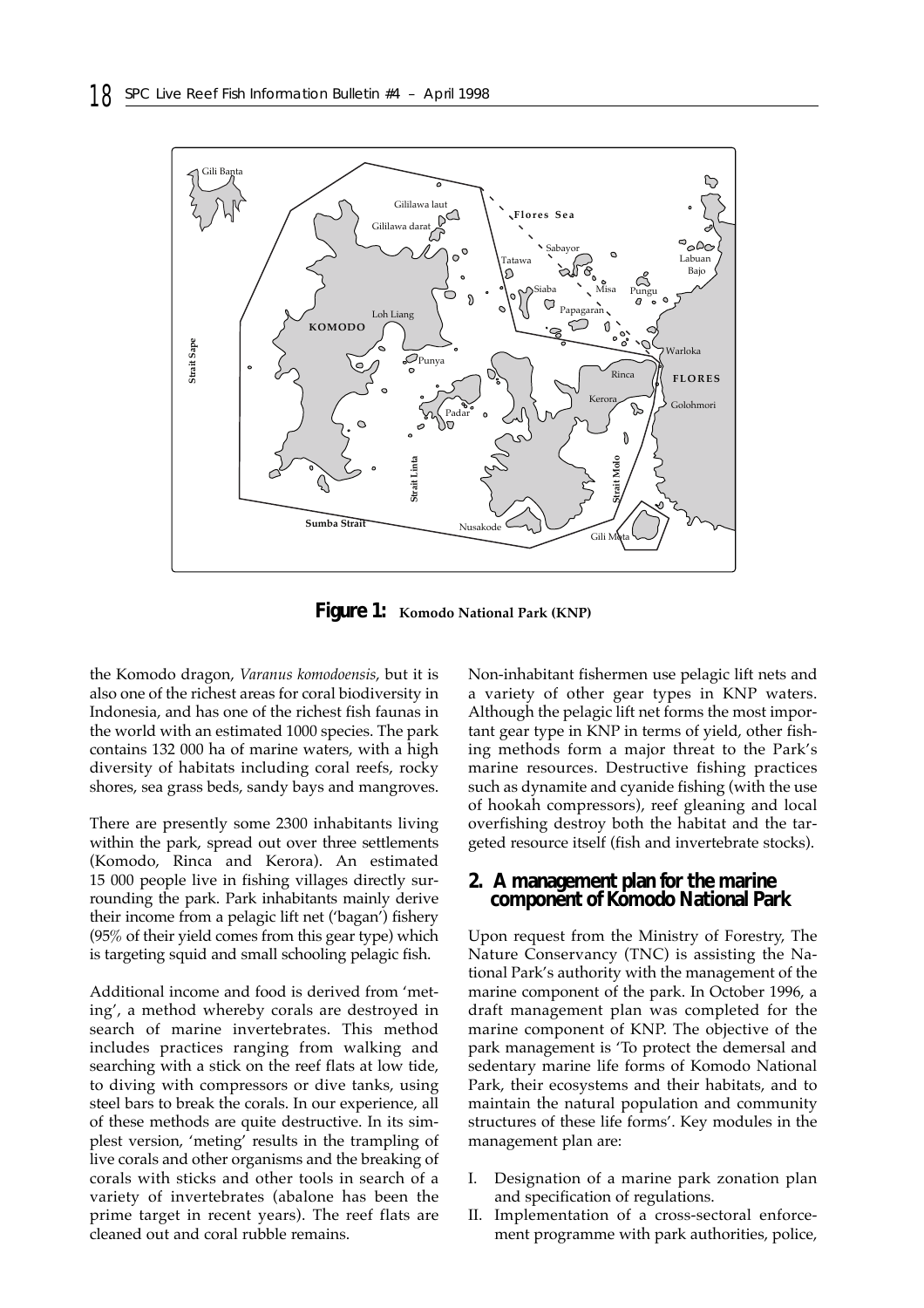

**Figure 1: Komodo National Park (KNP)**

the Komodo dragon, *Varanus komodoensis*, but it is also one of the richest areas for coral biodiversity in Indonesia, and has one of the richest fish faunas in the world with an estimated 1000 species. The park contains 132 000 ha of marine waters, with a high diversity of habitats including coral reefs, rocky shores, sea grass beds, sandy bays and mangroves.

There are presently some 2300 inhabitants living within the park, spread out over three settlements (Komodo, Rinca and Kerora). An estimated 15 000 people live in fishing villages directly surrounding the park. Park inhabitants mainly derive their income from a pelagic lift net ('bagan') fishery (95% of their yield comes from this gear type) which is targeting squid and small schooling pelagic fish.

Additional income and food is derived from 'meting', a method whereby corals are destroyed in search of marine invertebrates. This method includes practices ranging from walking and searching with a stick on the reef flats at low tide, to diving with compressors or dive tanks, using steel bars to break the corals. In our experience, all of these methods are quite destructive. In its simplest version, 'meting' results in the trampling of live corals and other organisms and the breaking of corals with sticks and other tools in search of a variety of invertebrates (abalone has been the prime target in recent years). The reef flats are cleaned out and coral rubble remains.

Non-inhabitant fishermen use pelagic lift nets and a variety of other gear types in KNP waters. Although the pelagic lift net forms the most important gear type in KNP in terms of yield, other fishing methods form a major threat to the Park's marine resources. Destructive fishing practices such as dynamite and cyanide fishing (with the use of hookah compressors), reef gleaning and local overfishing destroy both the habitat and the targeted resource itself (fish and invertebrate stocks).

#### **2. A management plan for the marine component of Komodo National Park**

Upon request from the Ministry of Forestry, The Nature Conservancy (TNC) is assisting the National Park's authority with the management of the marine component of the park. In October 1996, a draft management plan was completed for the marine component of KNP. The objective of the park management is 'To protect the demersal and sedentary marine life forms of Komodo National Park, their ecosystems and their habitats, and to maintain the natural population and community structures of these life forms'. Key modules in the management plan are:

- I. Designation of a marine park zonation plan and specification of regulations.
- II. Implementation of a cross-sectoral enforcement programme with park authorities, police,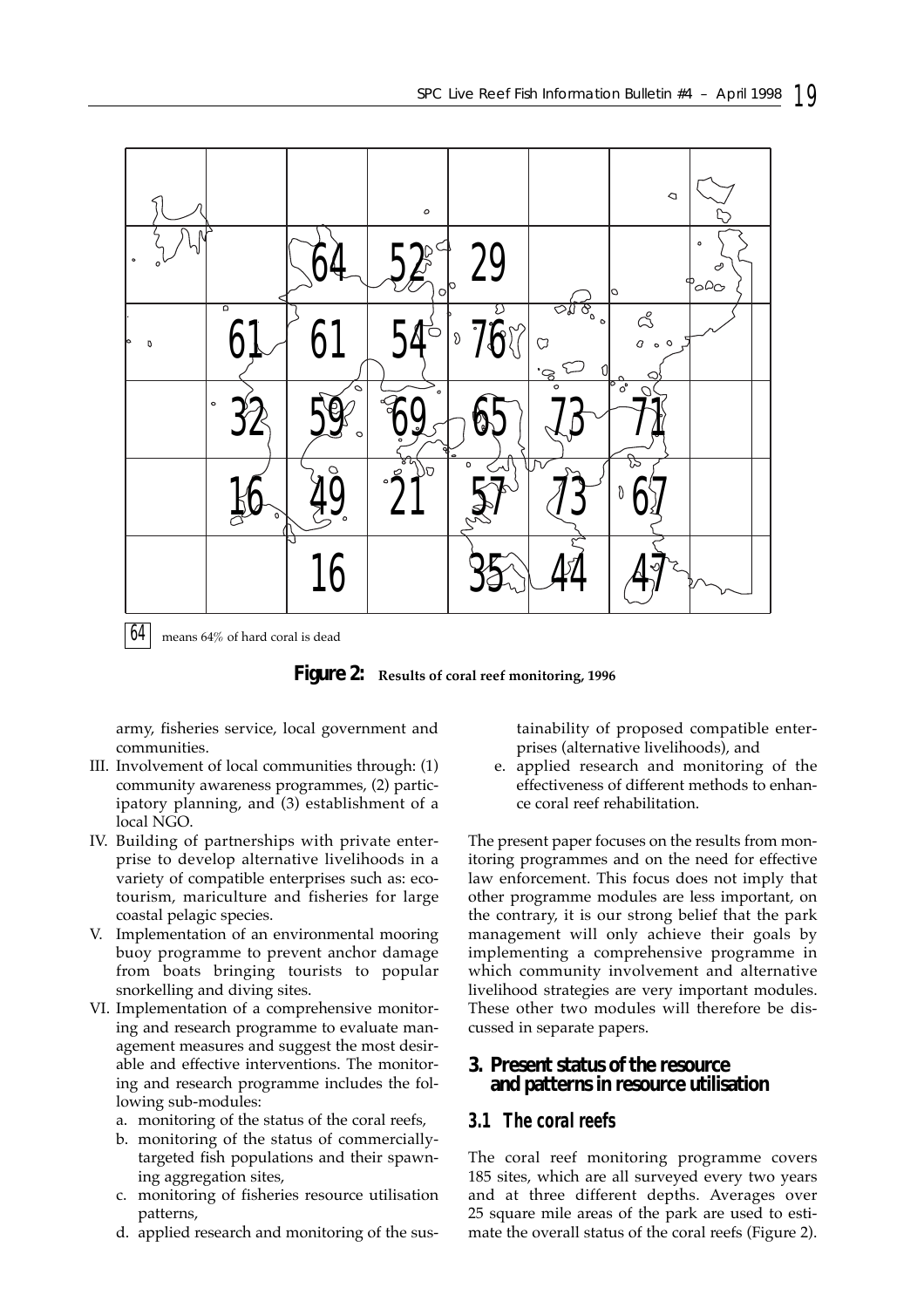

 $64$  means 64% of hard coral is dead

**Figure 2: Results of coral reef monitoring, 1996**

army, fisheries service, local government and communities.

- III. Involvement of local communities through: (1) community awareness programmes, (2) participatory planning, and (3) establishment of a local NGO.
- IV. Building of partnerships with private enterprise to develop alternative livelihoods in a variety of compatible enterprises such as: ecotourism, mariculture and fisheries for large coastal pelagic species.
- V. Implementation of an environmental mooring buoy programme to prevent anchor damage from boats bringing tourists to popular snorkelling and diving sites.
- VI. Implementation of a comprehensive monitoring and research programme to evaluate management measures and suggest the most desirable and effective interventions. The monitoring and research programme includes the following sub-modules:
	- a. monitoring of the status of the coral reefs,
	- b. monitoring of the status of commerciallytargeted fish populations and their spawning aggregation sites,
	- c. monitoring of fisheries resource utilisation patterns,
	- d. applied research and monitoring of the sus-

tainability of proposed compatible enterprises (alternative livelihoods), and

e. applied research and monitoring of the effectiveness of different methods to enhance coral reef rehabilitation.

The present paper focuses on the results from monitoring programmes and on the need for effective law enforcement. This focus does not imply that other programme modules are less important, on the contrary, it is our strong belief that the park management will only achieve their goals by implementing a comprehensive programme in which community involvement and alternative livelihood strategies are very important modules. These other two modules will therefore be discussed in separate papers.

### **3. Present status of the resource and patterns in resource utilisation**

## *3.1 The coral reefs*

The coral reef monitoring programme covers 185 sites, which are all surveyed every two years and at three different depths. Averages over 25 square mile areas of the park are used to estimate the overall status of the coral reefs (Figure 2).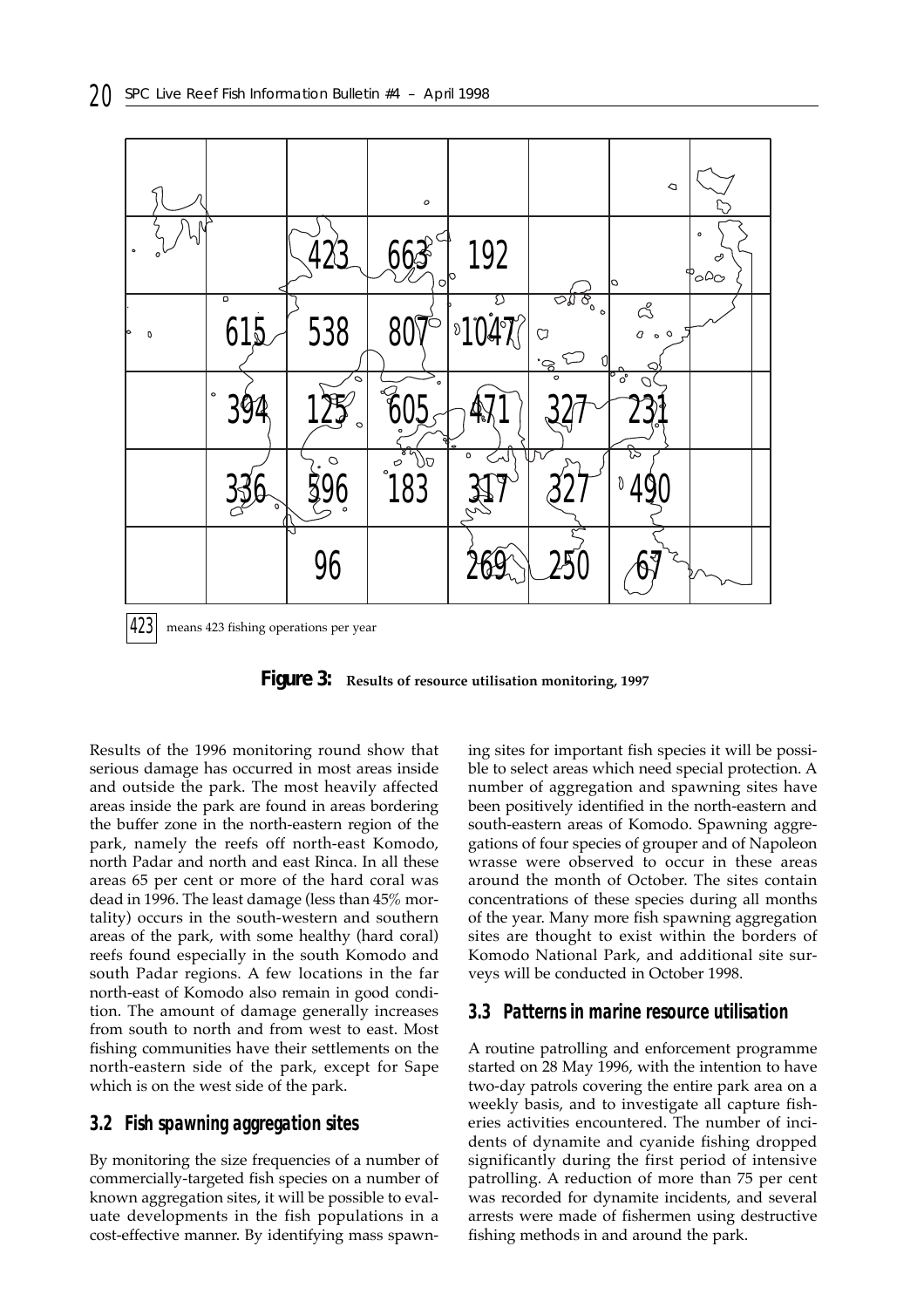

**Figure 3: Results of resource utilisation monitoring, 1997**

Results of the 1996 monitoring round show that serious damage has occurred in most areas inside and outside the park. The most heavily affected areas inside the park are found in areas bordering the buffer zone in the north-eastern region of the park, namely the reefs off north-east Komodo, north Padar and north and east Rinca. In all these areas 65 per cent or more of the hard coral was dead in 1996. The least damage (less than 45% mortality) occurs in the south-western and southern areas of the park, with some healthy (hard coral) reefs found especially in the south Komodo and south Padar regions. A few locations in the far north-east of Komodo also remain in good condition. The amount of damage generally increases from south to north and from west to east. Most fishing communities have their settlements on the north-eastern side of the park, except for Sape which is on the west side of the park.

#### *3.2 Fish spawning aggregation sites*

By monitoring the size frequencies of a number of commercially-targeted fish species on a number of known aggregation sites, it will be possible to evaluate developments in the fish populations in a cost-effective manner. By identifying mass spawning sites for important fish species it will be possible to select areas which need special protection. A number of aggregation and spawning sites have been positively identified in the north-eastern and south-eastern areas of Komodo. Spawning aggregations of four species of grouper and of Napoleon wrasse were observed to occur in these areas around the month of October. The sites contain concentrations of these species during all months of the year. Many more fish spawning aggregation sites are thought to exist within the borders of Komodo National Park, and additional site surveys will be conducted in October 1998.

#### *3.3 Patterns in marine resource utilisation*

A routine patrolling and enforcement programme started on 28 May 1996, with the intention to have two-day patrols covering the entire park area on a weekly basis, and to investigate all capture fisheries activities encountered. The number of incidents of dynamite and cyanide fishing dropped significantly during the first period of intensive patrolling. A reduction of more than 75 per cent was recorded for dynamite incidents, and several arrests were made of fishermen using destructive fishing methods in and around the park.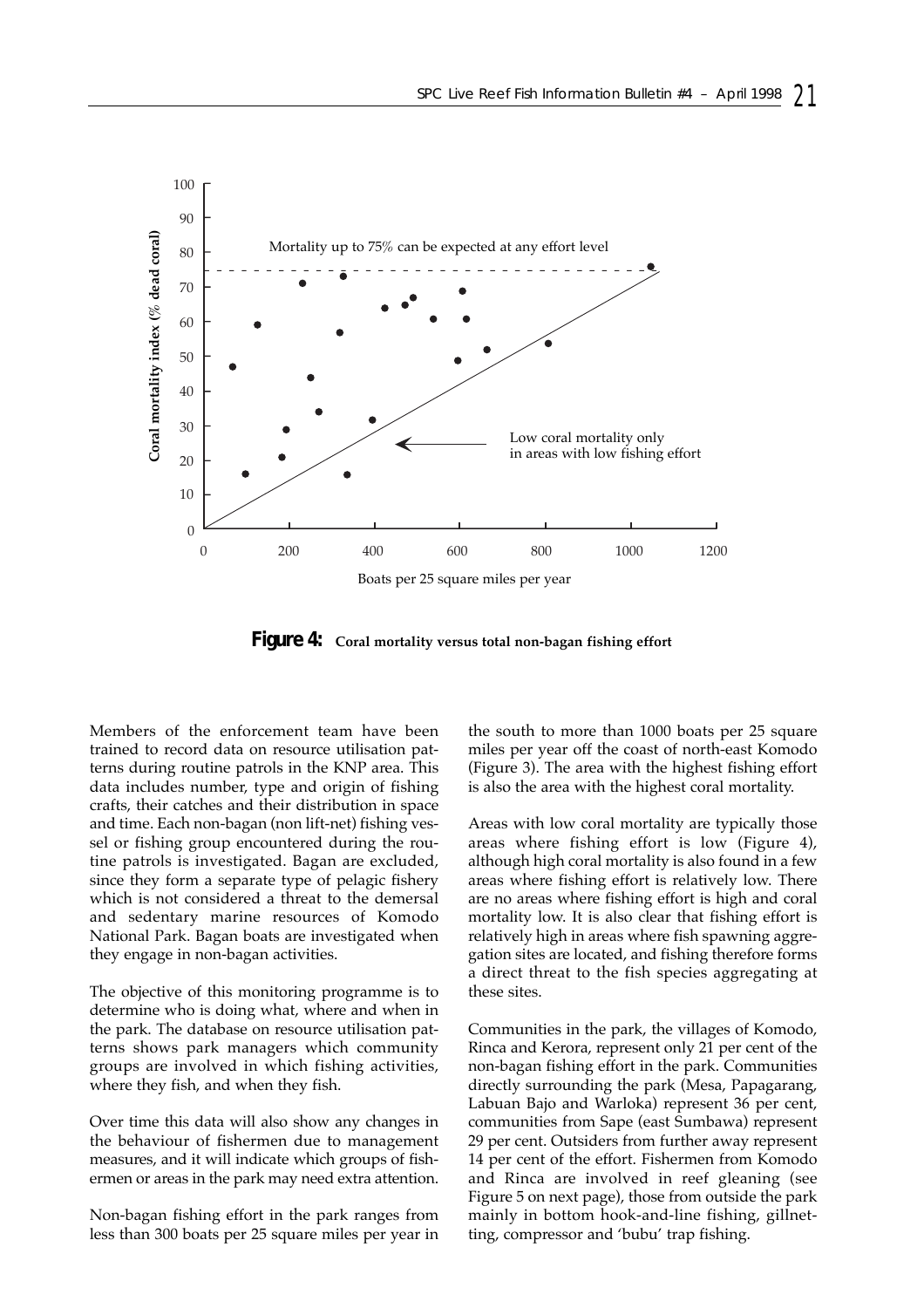

**Figure 4: Coral mortality versus total non-bagan fishing effort**

Members of the enforcement team have been trained to record data on resource utilisation patterns during routine patrols in the KNP area. This data includes number, type and origin of fishing crafts, their catches and their distribution in space and time. Each non-bagan (non lift-net) fishing vessel or fishing group encountered during the routine patrols is investigated. Bagan are excluded, since they form a separate type of pelagic fishery which is not considered a threat to the demersal and sedentary marine resources of Komodo National Park. Bagan boats are investigated when they engage in non-bagan activities.

The objective of this monitoring programme is to determine who is doing what, where and when in the park. The database on resource utilisation patterns shows park managers which community groups are involved in which fishing activities, where they fish, and when they fish.

Over time this data will also show any changes in the behaviour of fishermen due to management measures, and it will indicate which groups of fishermen or areas in the park may need extra attention.

Non-bagan fishing effort in the park ranges from less than 300 boats per 25 square miles per year in

the south to more than 1000 boats per 25 square miles per year off the coast of north-east Komodo (Figure 3). The area with the highest fishing effort is also the area with the highest coral mortality.

Areas with low coral mortality are typically those areas where fishing effort is low (Figure 4), although high coral mortality is also found in a few areas where fishing effort is relatively low. There are no areas where fishing effort is high and coral mortality low. It is also clear that fishing effort is relatively high in areas where fish spawning aggregation sites are located, and fishing therefore forms a direct threat to the fish species aggregating at these sites.

Communities in the park, the villages of Komodo, Rinca and Kerora, represent only 21 per cent of the non-bagan fishing effort in the park. Communities directly surrounding the park (Mesa, Papagarang, Labuan Bajo and Warloka) represent 36 per cent, communities from Sape (east Sumbawa) represent 29 per cent. Outsiders from further away represent 14 per cent of the effort. Fishermen from Komodo and Rinca are involved in reef gleaning (see Figure 5 on next page), those from outside the park mainly in bottom hook-and-line fishing, gillnetting, compressor and 'bubu' trap fishing.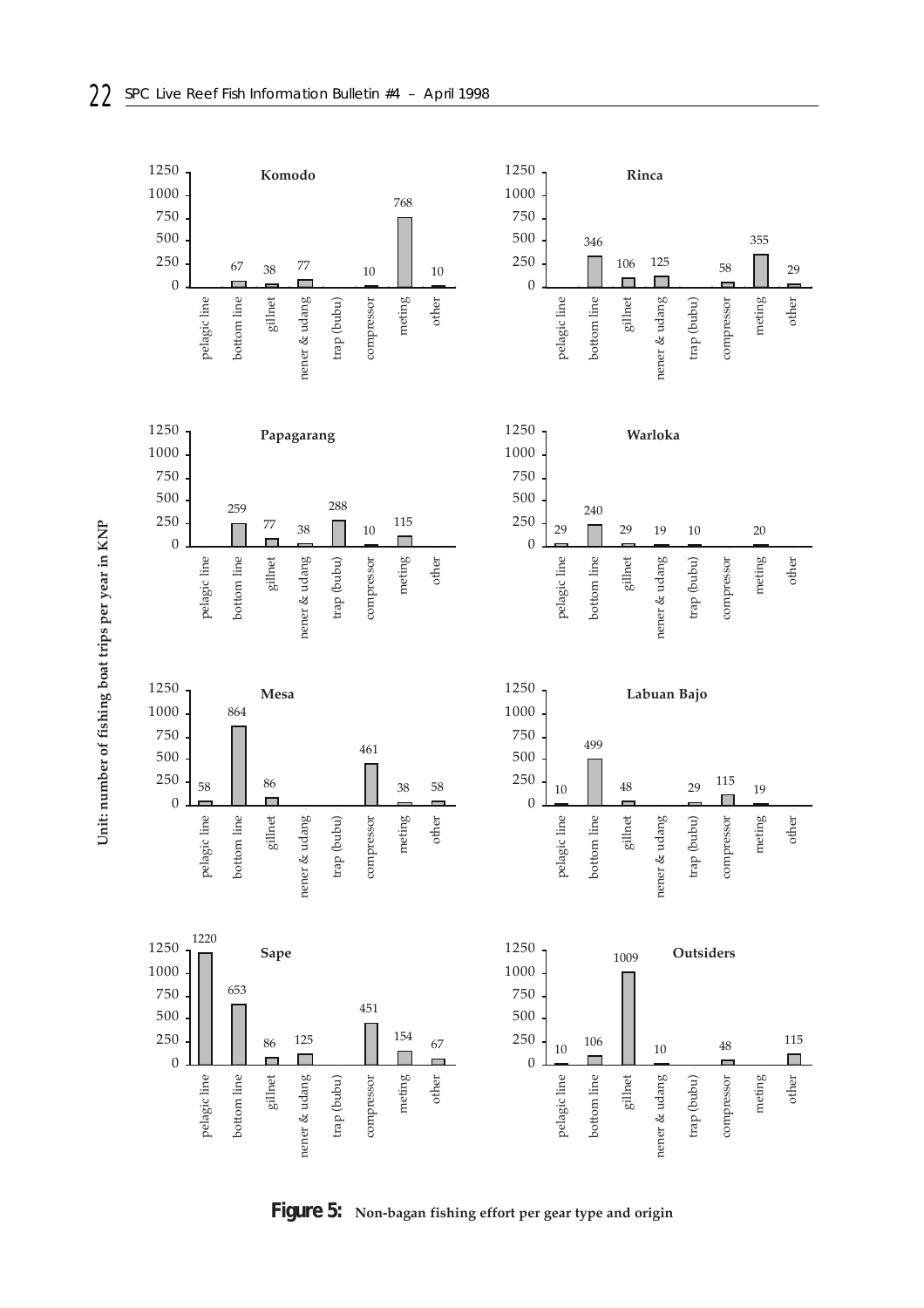

**Figure 5: Non-bagan fishing effort per gear type and origin**

Unit: number of fishing boat trips per year in KNP **Unit: number of fishing boat trips per year in KNP**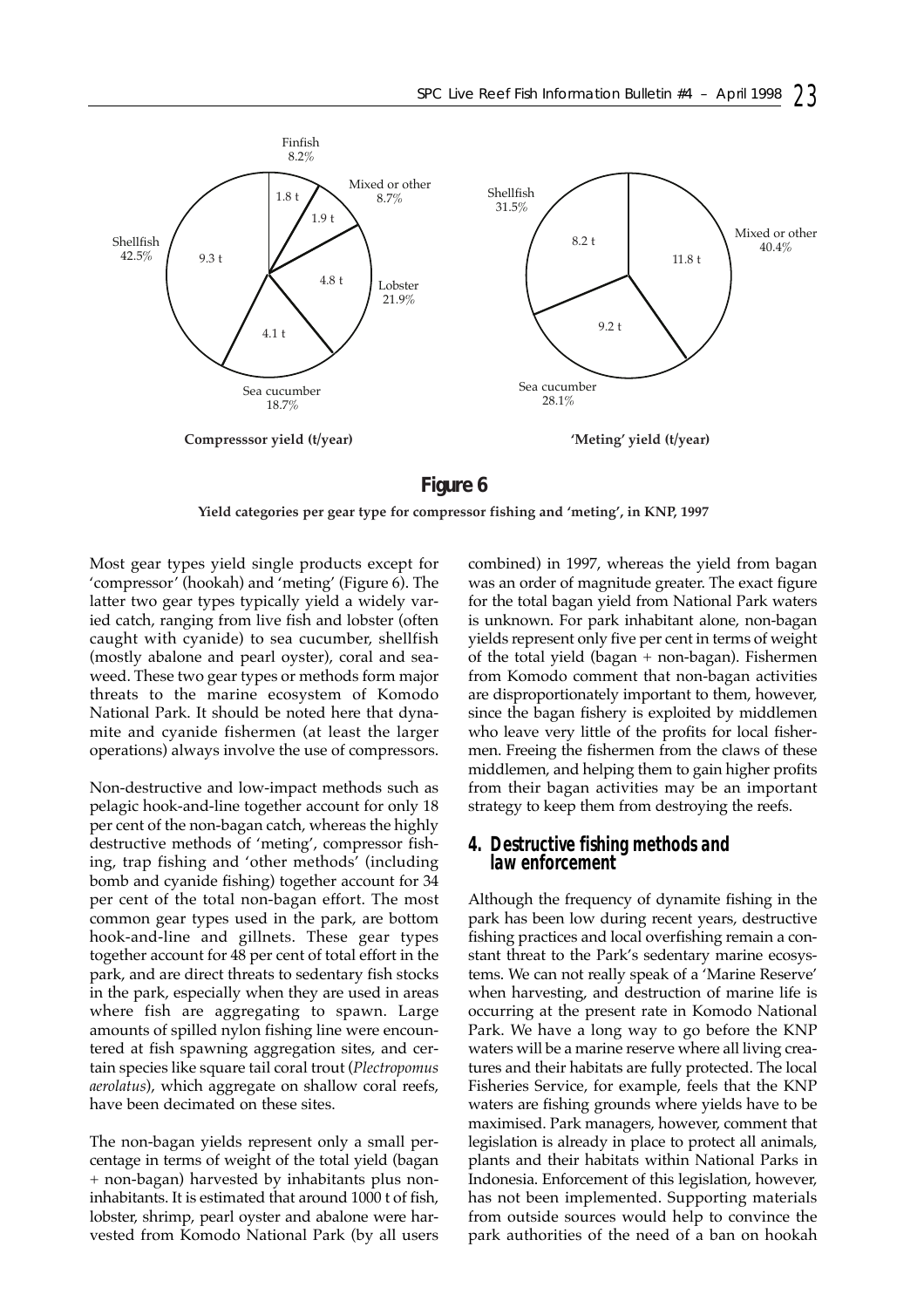

### **Figure 6**

**Yield categories per gear type for compressor fishing and 'meting', in KNP, 1997**

Most gear types yield single products except for 'compressor' (hookah) and 'meting' (Figure 6). The latter two gear types typically yield a widely varied catch, ranging from live fish and lobster (often caught with cyanide) to sea cucumber, shellfish (mostly abalone and pearl oyster), coral and seaweed. These two gear types or methods form major threats to the marine ecosystem of Komodo National Park. It should be noted here that dynamite and cyanide fishermen (at least the larger operations) always involve the use of compressors.

Non-destructive and low-impact methods such as pelagic hook-and-line together account for only 18 per cent of the non-bagan catch, whereas the highly destructive methods of 'meting', compressor fishing, trap fishing and 'other methods' (including bomb and cyanide fishing) together account for 34 per cent of the total non-bagan effort. The most common gear types used in the park, are bottom hook-and-line and gillnets. These gear types together account for 48 per cent of total effort in the park, and are direct threats to sedentary fish stocks in the park, especially when they are used in areas where fish are aggregating to spawn. Large amounts of spilled nylon fishing line were encountered at fish spawning aggregation sites, and certain species like square tail coral trout (*Plectropomus aerolatus*), which aggregate on shallow coral reefs, have been decimated on these sites.

The non-bagan yields represent only a small percentage in terms of weight of the total yield (bagan + non-bagan) harvested by inhabitants plus noninhabitants. It is estimated that around 1000 t of fish, lobster, shrimp, pearl oyster and abalone were harvested from Komodo National Park (by all users

combined) in 1997, whereas the yield from bagan was an order of magnitude greater. The exact figure for the total bagan yield from National Park waters is unknown. For park inhabitant alone, non-bagan yields represent only five per cent in terms of weight of the total yield (bagan + non-bagan). Fishermen from Komodo comment that non-bagan activities are disproportionately important to them, however, since the bagan fishery is exploited by middlemen who leave very little of the profits for local fishermen. Freeing the fishermen from the claws of these middlemen, and helping them to gain higher profits from their bagan activities may be an important strategy to keep them from destroying the reefs.

# *4. Destructive fishing methods and law enforcement*

Although the frequency of dynamite fishing in the park has been low during recent years, destructive fishing practices and local overfishing remain a constant threat to the Park's sedentary marine ecosystems. We can not really speak of a 'Marine Reserve' when harvesting, and destruction of marine life is occurring at the present rate in Komodo National Park. We have a long way to go before the KNP waters will be a marine reserve where all living creatures and their habitats are fully protected. The local Fisheries Service, for example, feels that the KNP waters are fishing grounds where yields have to be maximised. Park managers, however, comment that legislation is already in place to protect all animals, plants and their habitats within National Parks in Indonesia. Enforcement of this legislation, however, has not been implemented. Supporting materials from outside sources would help to convince the park authorities of the need of a ban on hookah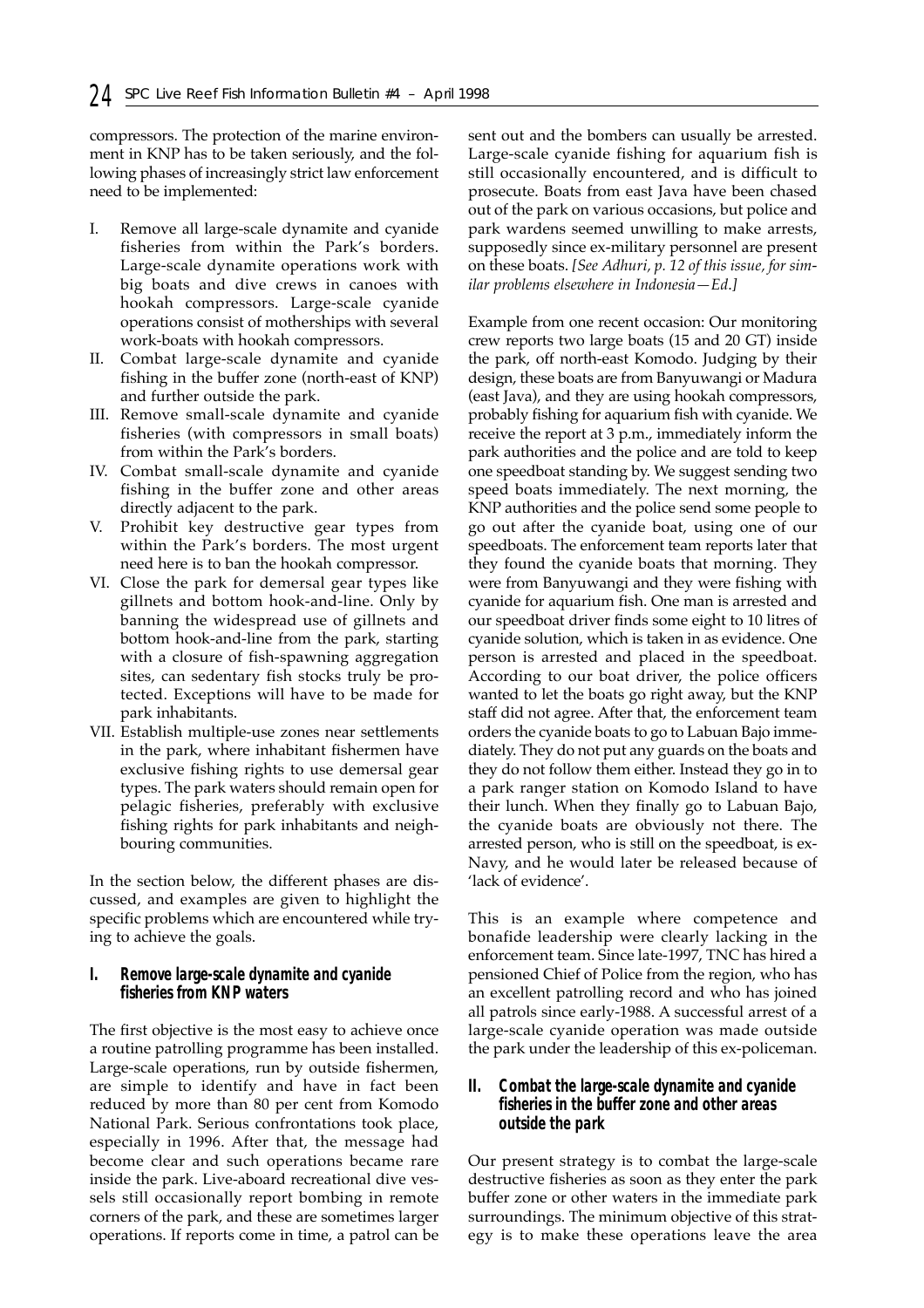compressors. The protection of the marine environment in KNP has to be taken seriously, and the following phases of increasingly strict law enforcement need to be implemented:

- I. Remove all large-scale dynamite and cyanide fisheries from within the Park's borders. Large-scale dynamite operations work with big boats and dive crews in canoes with hookah compressors. Large-scale cyanide operations consist of motherships with several work-boats with hookah compressors.
- II. Combat large-scale dynamite and cyanide fishing in the buffer zone (north-east of KNP) and further outside the park.
- III. Remove small-scale dynamite and cyanide fisheries (with compressors in small boats) from within the Park's borders.
- IV. Combat small-scale dynamite and cyanide fishing in the buffer zone and other areas directly adjacent to the park.
- V. Prohibit key destructive gear types from within the Park's borders. The most urgent need here is to ban the hookah compressor.
- VI. Close the park for demersal gear types like gillnets and bottom hook-and-line. Only by banning the widespread use of gillnets and bottom hook-and-line from the park, starting with a closure of fish-spawning aggregation sites, can sedentary fish stocks truly be protected. Exceptions will have to be made for park inhabitants.
- VII. Establish multiple-use zones near settlements in the park, where inhabitant fishermen have exclusive fishing rights to use demersal gear types. The park waters should remain open for pelagic fisheries, preferably with exclusive fishing rights for park inhabitants and neighbouring communities.

In the section below, the different phases are discussed, and examples are given to highlight the specific problems which are encountered while trying to achieve the goals.

#### *I. Remove large-scale dynamite and cyanide fisheries from KNP waters*

The first objective is the most easy to achieve once a routine patrolling programme has been installed. Large-scale operations, run by outside fishermen, are simple to identify and have in fact been reduced by more than 80 per cent from Komodo National Park. Serious confrontations took place, especially in 1996. After that, the message had become clear and such operations became rare inside the park. Live-aboard recreational dive vessels still occasionally report bombing in remote corners of the park, and these are sometimes larger operations. If reports come in time, a patrol can be

sent out and the bombers can usually be arrested. Large-scale cyanide fishing for aquarium fish is still occasionally encountered, and is difficult to prosecute. Boats from east Java have been chased out of the park on various occasions, but police and park wardens seemed unwilling to make arrests, supposedly since ex-military personnel are present on these boats. *[See Adhuri, p. 12 of this issue, for similar problems elsewhere in Indonesia—Ed*.*]*

Example from one recent occasion: Our monitoring crew reports two large boats (15 and 20 GT) inside the park, off north-east Komodo. Judging by their design, these boats are from Banyuwangi or Madura (east Java), and they are using hookah compressors, probably fishing for aquarium fish with cyanide. We receive the report at 3 p.m., immediately inform the park authorities and the police and are told to keep one speedboat standing by. We suggest sending two speed boats immediately. The next morning, the KNP authorities and the police send some people to go out after the cyanide boat, using one of our speedboats. The enforcement team reports later that they found the cyanide boats that morning. They were from Banyuwangi and they were fishing with cyanide for aquarium fish. One man is arrested and our speedboat driver finds some eight to 10 litres of cyanide solution, which is taken in as evidence. One person is arrested and placed in the speedboat. According to our boat driver, the police officers wanted to let the boats go right away, but the KNP staff did not agree. After that, the enforcement team orders the cyanide boats to go to Labuan Bajo immediately. They do not put any guards on the boats and they do not follow them either. Instead they go in to a park ranger station on Komodo Island to have their lunch. When they finally go to Labuan Bajo, the cyanide boats are obviously not there. The arrested person, who is still on the speedboat, is ex-Navy, and he would later be released because of 'lack of evidence'.

This is an example where competence and bonafide leadership were clearly lacking in the enforcement team. Since late-1997, TNC has hired a pensioned Chief of Police from the region, who has an excellent patrolling record and who has joined all patrols since early-1988. A successful arrest of a large-scale cyanide operation was made outside the park under the leadership of this ex-policeman.

#### *II. Combat the large-scale dynamite and cyanide fisheries in the buffer zone and other areas outside the park*

Our present strategy is to combat the large-scale destructive fisheries as soon as they enter the park buffer zone or other waters in the immediate park surroundings. The minimum objective of this strategy is to make these operations leave the area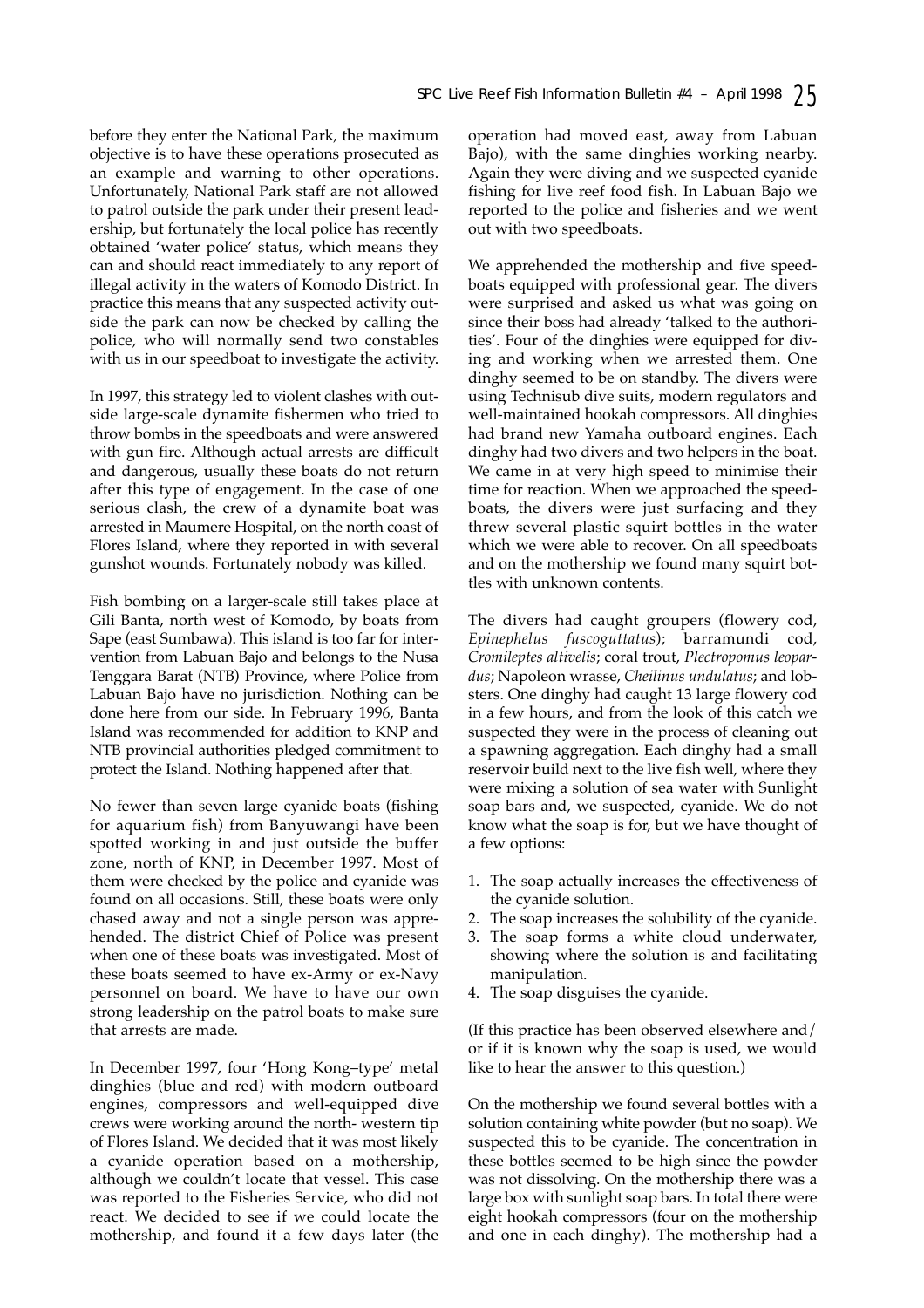before they enter the National Park, the maximum objective is to have these operations prosecuted as an example and warning to other operations. Unfortunately, National Park staff are not allowed to patrol outside the park under their present leadership, but fortunately the local police has recently obtained 'water police' status, which means they can and should react immediately to any report of illegal activity in the waters of Komodo District. In practice this means that any suspected activity outside the park can now be checked by calling the police, who will normally send two constables with us in our speedboat to investigate the activity.

In 1997, this strategy led to violent clashes with outside large-scale dynamite fishermen who tried to throw bombs in the speedboats and were answered with gun fire. Although actual arrests are difficult and dangerous, usually these boats do not return after this type of engagement. In the case of one serious clash, the crew of a dynamite boat was arrested in Maumere Hospital, on the north coast of Flores Island, where they reported in with several gunshot wounds. Fortunately nobody was killed.

Fish bombing on a larger-scale still takes place at Gili Banta, north west of Komodo, by boats from Sape (east Sumbawa). This island is too far for intervention from Labuan Bajo and belongs to the Nusa Tenggara Barat (NTB) Province, where Police from Labuan Bajo have no jurisdiction. Nothing can be done here from our side. In February 1996, Banta Island was recommended for addition to KNP and NTB provincial authorities pledged commitment to protect the Island. Nothing happened after that.

No fewer than seven large cyanide boats (fishing for aquarium fish) from Banyuwangi have been spotted working in and just outside the buffer zone, north of KNP, in December 1997. Most of them were checked by the police and cyanide was found on all occasions. Still, these boats were only chased away and not a single person was apprehended. The district Chief of Police was present when one of these boats was investigated. Most of these boats seemed to have ex-Army or ex-Navy personnel on board. We have to have our own strong leadership on the patrol boats to make sure that arrests are made.

In December 1997, four 'Hong Kong–type' metal dinghies (blue and red) with modern outboard engines, compressors and well-equipped dive crews were working around the north- western tip of Flores Island. We decided that it was most likely a cyanide operation based on a mothership, although we couldn't locate that vessel. This case was reported to the Fisheries Service, who did not react. We decided to see if we could locate the mothership, and found it a few days later (the operation had moved east, away from Labuan Bajo), with the same dinghies working nearby. Again they were diving and we suspected cyanide fishing for live reef food fish. In Labuan Bajo we reported to the police and fisheries and we went out with two speedboats.

We apprehended the mothership and five speedboats equipped with professional gear. The divers were surprised and asked us what was going on since their boss had already 'talked to the authorities'. Four of the dinghies were equipped for diving and working when we arrested them. One dinghy seemed to be on standby. The divers were using Technisub dive suits, modern regulators and well-maintained hookah compressors. All dinghies had brand new Yamaha outboard engines. Each dinghy had two divers and two helpers in the boat. We came in at very high speed to minimise their time for reaction. When we approached the speedboats, the divers were just surfacing and they threw several plastic squirt bottles in the water which we were able to recover. On all speedboats and on the mothership we found many squirt bottles with unknown contents.

The divers had caught groupers (flowery cod, *Epinephelus fuscoguttatus*); barramundi cod, *Cromileptes altivelis*; coral trout, *Plectropomus leopardus*; Napoleon wrasse, *Cheilinus undulatus*; and lobsters. One dinghy had caught 13 large flowery cod in a few hours, and from the look of this catch we suspected they were in the process of cleaning out a spawning aggregation. Each dinghy had a small reservoir build next to the live fish well, where they were mixing a solution of sea water with Sunlight soap bars and, we suspected, cyanide. We do not know what the soap is for, but we have thought of a few options:

- 1. The soap actually increases the effectiveness of the cyanide solution.
- 2. The soap increases the solubility of the cyanide.
- 3. The soap forms a white cloud underwater, showing where the solution is and facilitating manipulation.
- 4. The soap disguises the cyanide.

(If this practice has been observed elsewhere and/ or if it is known why the soap is used, we would like to hear the answer to this question.)

On the mothership we found several bottles with a solution containing white powder (but no soap). We suspected this to be cyanide. The concentration in these bottles seemed to be high since the powder was not dissolving. On the mothership there was a large box with sunlight soap bars. In total there were eight hookah compressors (four on the mothership and one in each dinghy). The mothership had a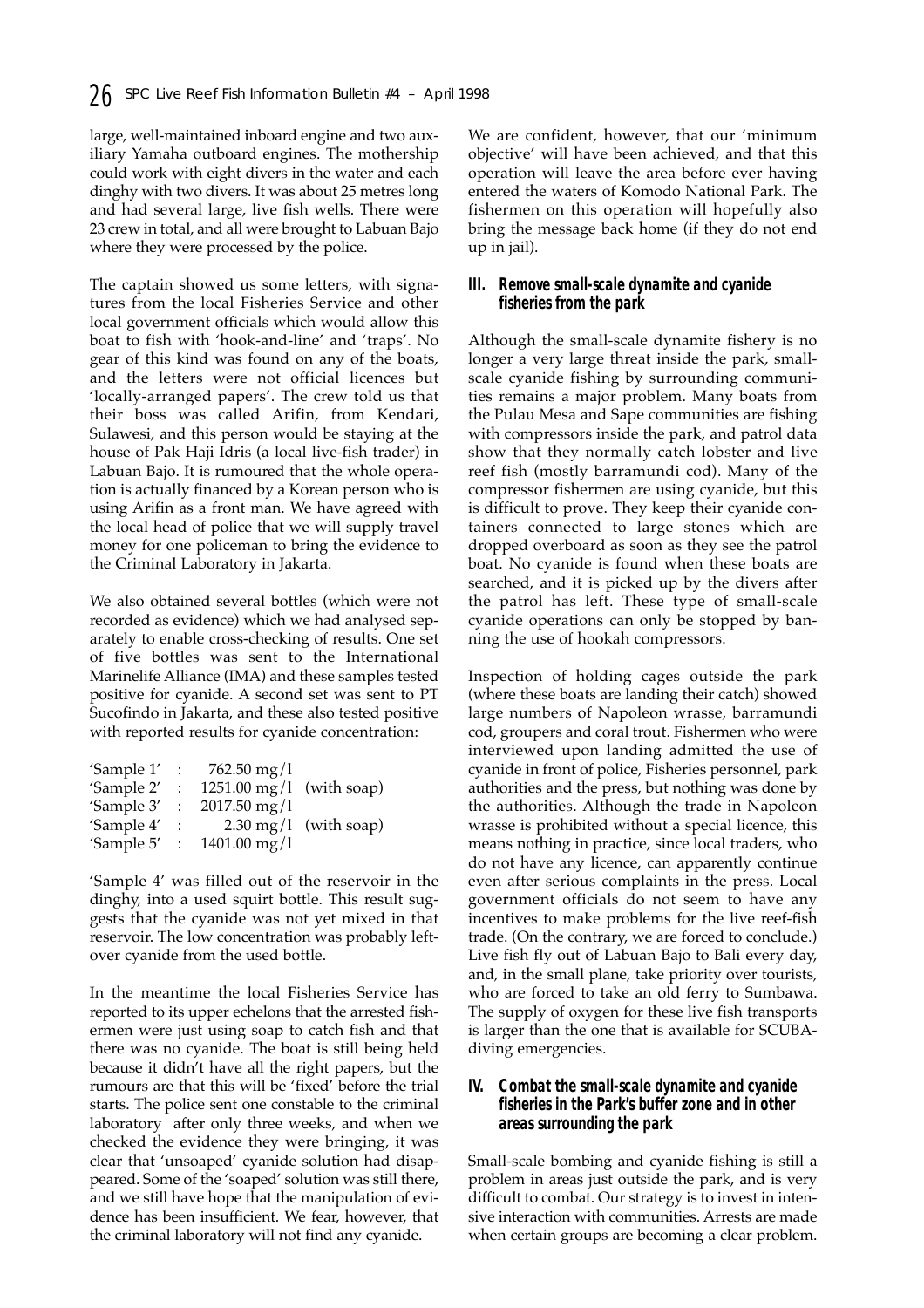large, well-maintained inboard engine and two auxiliary Yamaha outboard engines. The mothership could work with eight divers in the water and each dinghy with two divers. It was about 25 metres long and had several large, live fish wells. There were 23 crew in total, and all were brought to Labuan Bajo where they were processed by the police.

The captain showed us some letters, with signatures from the local Fisheries Service and other local government officials which would allow this boat to fish with 'hook-and-line' and 'traps'. No gear of this kind was found on any of the boats, and the letters were not official licences but 'locally-arranged papers'. The crew told us that their boss was called Arifin, from Kendari, Sulawesi, and this person would be staying at the house of Pak Haji Idris (a local live-fish trader) in Labuan Bajo. It is rumoured that the whole operation is actually financed by a Korean person who is using Arifin as a front man. We have agreed with the local head of police that we will supply travel money for one policeman to bring the evidence to the Criminal Laboratory in Jakarta.

We also obtained several bottles (which were not recorded as evidence) which we had analysed separately to enable cross-checking of results. One set of five bottles was sent to the International Marinelife Alliance (IMA) and these samples tested positive for cyanide. A second set was sent to PT Sucofindo in Jakarta, and these also tested positive with reported results for cyanide concentration:

| 'Sample 1'     | $\sim 10^6$               | $762.50 \,\mathrm{mg}/l$   |                                 |
|----------------|---------------------------|----------------------------|---------------------------------|
| 'Sample 2'     | $\therefore$              | $1251.00$ mg/l (with soap) |                                 |
| 'Sample 3'     | $\ddot{\cdot}$            | $2017.50$ mg/l             |                                 |
| 'Sample 4'     | $\mathbb{R}^{\mathbb{Z}}$ |                            | $2.30 \text{ mg}/1$ (with soap) |
| 'Sample $5'$ : |                           | $1401.00$ mg/l             |                                 |
|                |                           |                            |                                 |

'Sample 4' was filled out of the reservoir in the dinghy, into a used squirt bottle. This result suggests that the cyanide was not yet mixed in that reservoir. The low concentration was probably leftover cyanide from the used bottle.

In the meantime the local Fisheries Service has reported to its upper echelons that the arrested fishermen were just using soap to catch fish and that there was no cyanide. The boat is still being held because it didn't have all the right papers, but the rumours are that this will be 'fixed' before the trial starts. The police sent one constable to the criminal laboratory after only three weeks, and when we checked the evidence they were bringing, it was clear that 'unsoaped' cyanide solution had disappeared. Some of the 'soaped' solution was still there, and we still have hope that the manipulation of evidence has been insufficient. We fear, however, that the criminal laboratory will not find any cyanide.

We are confident, however, that our 'minimum objective' will have been achieved, and that this operation will leave the area before ever having entered the waters of Komodo National Park. The fishermen on this operation will hopefully also bring the message back home (if they do not end up in jail).

#### *III. Remove small-scale dynamite and cyanide fisheries from the park*

Although the small-scale dynamite fishery is no longer a very large threat inside the park, smallscale cyanide fishing by surrounding communities remains a major problem. Many boats from the Pulau Mesa and Sape communities are fishing with compressors inside the park, and patrol data show that they normally catch lobster and live reef fish (mostly barramundi cod). Many of the compressor fishermen are using cyanide, but this is difficult to prove. They keep their cyanide containers connected to large stones which are dropped overboard as soon as they see the patrol boat. No cyanide is found when these boats are searched, and it is picked up by the divers after the patrol has left. These type of small-scale cyanide operations can only be stopped by banning the use of hookah compressors.

Inspection of holding cages outside the park (where these boats are landing their catch) showed large numbers of Napoleon wrasse, barramundi cod, groupers and coral trout. Fishermen who were interviewed upon landing admitted the use of cyanide in front of police, Fisheries personnel, park authorities and the press, but nothing was done by the authorities. Although the trade in Napoleon wrasse is prohibited without a special licence, this means nothing in practice, since local traders, who do not have any licence, can apparently continue even after serious complaints in the press. Local government officials do not seem to have any incentives to make problems for the live reef-fish trade. (On the contrary, we are forced to conclude.) Live fish fly out of Labuan Bajo to Bali every day, and, in the small plane, take priority over tourists, who are forced to take an old ferry to Sumbawa. The supply of oxygen for these live fish transports is larger than the one that is available for SCUBAdiving emergencies.

#### *IV. Combat the small-scale dynamite and cyanide fisheries in the Park's buffer zone and in other areas surrounding the park*

Small-scale bombing and cyanide fishing is still a problem in areas just outside the park, and is very difficult to combat. Our strategy is to invest in intensive interaction with communities. Arrests are made when certain groups are becoming a clear problem.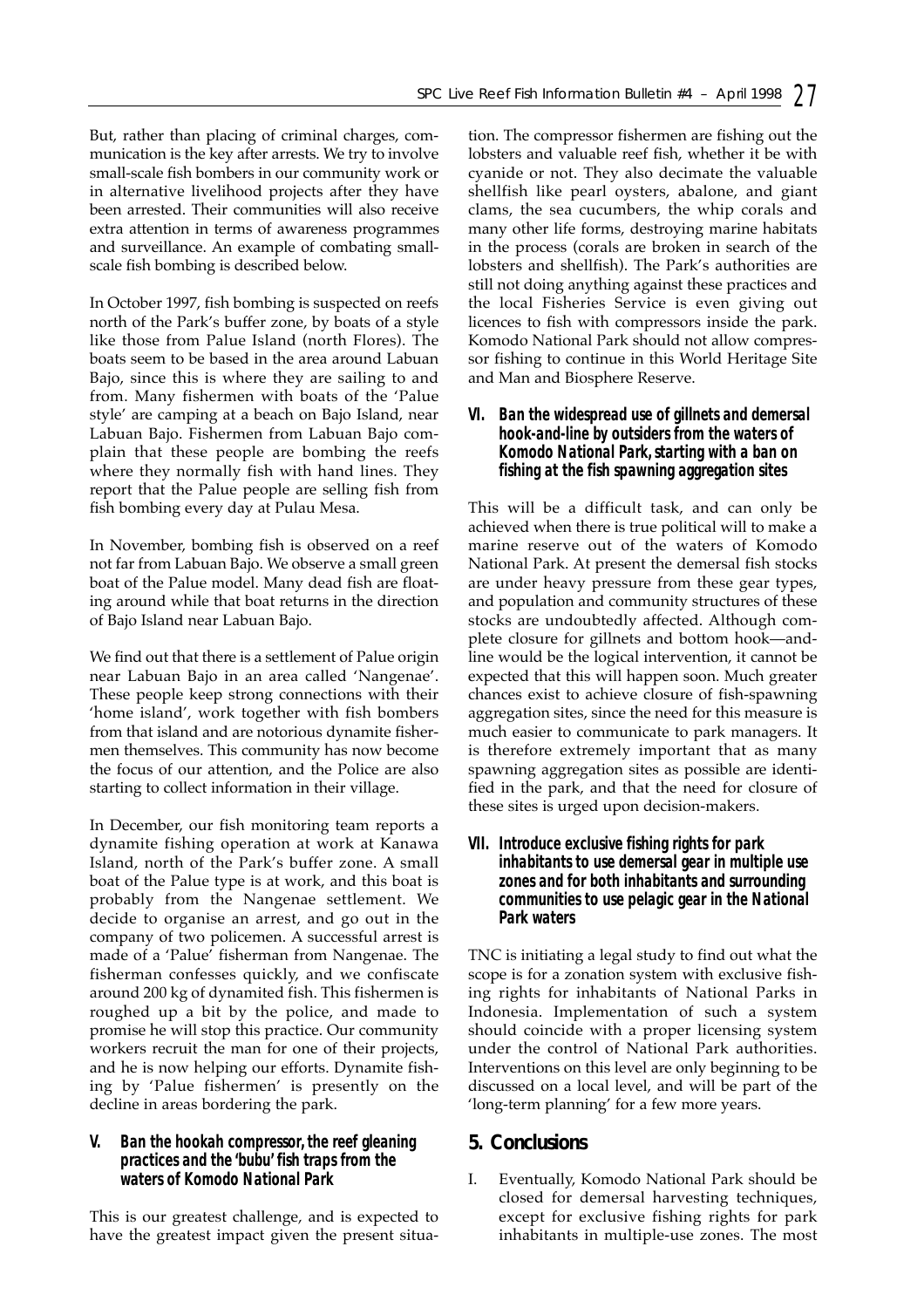But, rather than placing of criminal charges, communication is the key after arrests. We try to involve small-scale fish bombers in our community work or in alternative livelihood projects after they have been arrested. Their communities will also receive extra attention in terms of awareness programmes and surveillance. An example of combating smallscale fish bombing is described below.

In October 1997, fish bombing is suspected on reefs north of the Park's buffer zone, by boats of a style like those from Palue Island (north Flores). The boats seem to be based in the area around Labuan Bajo, since this is where they are sailing to and from. Many fishermen with boats of the 'Palue style' are camping at a beach on Bajo Island, near Labuan Bajo. Fishermen from Labuan Bajo complain that these people are bombing the reefs where they normally fish with hand lines. They report that the Palue people are selling fish from fish bombing every day at Pulau Mesa.

In November, bombing fish is observed on a reef not far from Labuan Bajo. We observe a small green boat of the Palue model. Many dead fish are floating around while that boat returns in the direction of Bajo Island near Labuan Bajo.

We find out that there is a settlement of Palue origin near Labuan Bajo in an area called 'Nangenae'. These people keep strong connections with their 'home island', work together with fish bombers from that island and are notorious dynamite fishermen themselves. This community has now become the focus of our attention, and the Police are also starting to collect information in their village.

In December, our fish monitoring team reports a dynamite fishing operation at work at Kanawa Island, north of the Park's buffer zone. A small boat of the Palue type is at work, and this boat is probably from the Nangenae settlement. We decide to organise an arrest, and go out in the company of two policemen. A successful arrest is made of a 'Palue' fisherman from Nangenae. The fisherman confesses quickly, and we confiscate around 200 kg of dynamited fish. This fishermen is roughed up a bit by the police, and made to promise he will stop this practice. Our community workers recruit the man for one of their projects, and he is now helping our efforts. Dynamite fishing by 'Palue fishermen' is presently on the decline in areas bordering the park.

#### *V. Ban the hookah compressor, the reef gleaning practices and the 'bubu' fish traps from the waters of Komodo National Park*

This is our greatest challenge, and is expected to have the greatest impact given the present situation. The compressor fishermen are fishing out the lobsters and valuable reef fish, whether it be with cyanide or not. They also decimate the valuable shellfish like pearl oysters, abalone, and giant clams, the sea cucumbers, the whip corals and many other life forms, destroying marine habitats in the process (corals are broken in search of the lobsters and shellfish). The Park's authorities are still not doing anything against these practices and the local Fisheries Service is even giving out licences to fish with compressors inside the park. Komodo National Park should not allow compressor fishing to continue in this World Heritage Site and Man and Biosphere Reserve.

### *VI. Ban the widespread use of gillnets and demersal hook-and-line by outsiders from the waters of Komodo National Park, starting with a ban on fishing at the fish spawning aggregation sites*

This will be a difficult task, and can only be achieved when there is true political will to make a marine reserve out of the waters of Komodo National Park. At present the demersal fish stocks are under heavy pressure from these gear types, and population and community structures of these stocks are undoubtedly affected. Although complete closure for gillnets and bottom hook—andline would be the logical intervention, it cannot be expected that this will happen soon. Much greater chances exist to achieve closure of fish-spawning aggregation sites, since the need for this measure is much easier to communicate to park managers. It is therefore extremely important that as many spawning aggregation sites as possible are identified in the park, and that the need for closure of these sites is urged upon decision-makers.

#### *VII. Introduce exclusive fishing rights for park inhabitants to use demersal gear in multiple use zones and for both inhabitants and surrounding communities to use pelagic gear in the National Park waters*

TNC is initiating a legal study to find out what the scope is for a zonation system with exclusive fishing rights for inhabitants of National Parks in Indonesia. Implementation of such a system should coincide with a proper licensing system under the control of National Park authorities. Interventions on this level are only beginning to be discussed on a local level, and will be part of the 'long-term planning' for a few more years.

# **5. Conclusions**

I. Eventually, Komodo National Park should be closed for demersal harvesting techniques, except for exclusive fishing rights for park inhabitants in multiple-use zones. The most